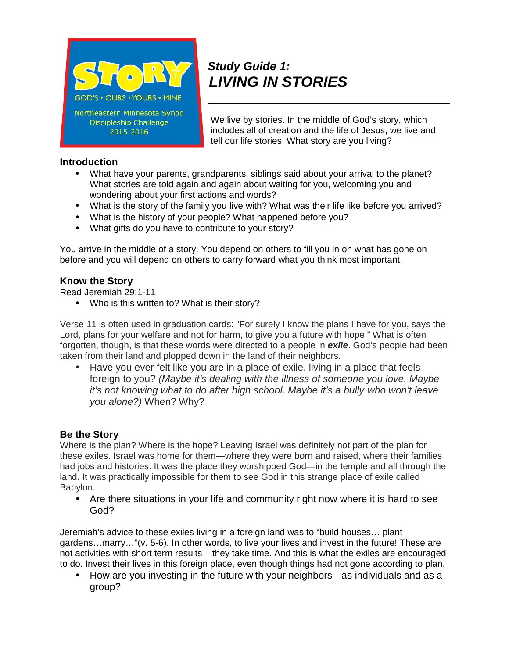

# *Study Guide 1: LIVING IN STORIES*

We live by stories. In the middle of God's story, which includes all of creation and the life of Jesus, we live and tell our life stories. What story are you living?

## **Introduction**

- What have your parents, grandparents, siblings said about your arrival to the planet? What stories are told again and again about waiting for you, welcoming you and wondering about your first actions and words?
- What is the story of the family you live with? What was their life like before you arrived?
- What is the history of your people? What happened before you?
- What gifts do you have to contribute to your story?

You arrive in the middle of a story. You depend on others to fill you in on what has gone on before and you will depend on others to carry forward what you think most important.

### **Know the Story**

Read Jeremiah 29:1-11

• Who is this written to? What is their story?

Verse 11 is often used in graduation cards: "For surely I know the plans I have for you, says the Lord, plans for your welfare and not for harm, to give you a future with hope." What is often forgotten, though, is that these words were directed to a people in *exile*. God's people had been taken from their land and plopped down in the land of their neighbors.

 Have you ever felt like you are in a place of exile, living in a place that feels foreign to you? *(Maybe it's dealing with the illness of someone you love. Maybe it's not knowing what to do after high school. Maybe it's a bully who won't leave you alone?)* When? Why?

## **Be the Story**

Where is the plan? Where is the hope? Leaving Israel was definitely not part of the plan for these exiles. Israel was home for them—where they were born and raised, where their families had jobs and histories. It was the place they worshipped God—in the temple and all through the land. It was practically impossible for them to see God in this strange place of exile called Babylon.

 Are there situations in your life and community right now where it is hard to see God?

Jeremiah's advice to these exiles living in a foreign land was to "build houses… plant gardens…marry…"(v. 5-6). In other words, to live your lives and invest in the future! These are not activities with short term results – they take time. And this is what the exiles are encouraged to do. Invest their lives in this foreign place, even though things had not gone according to plan.

 How are you investing in the future with your neighbors - as individuals and as a group?